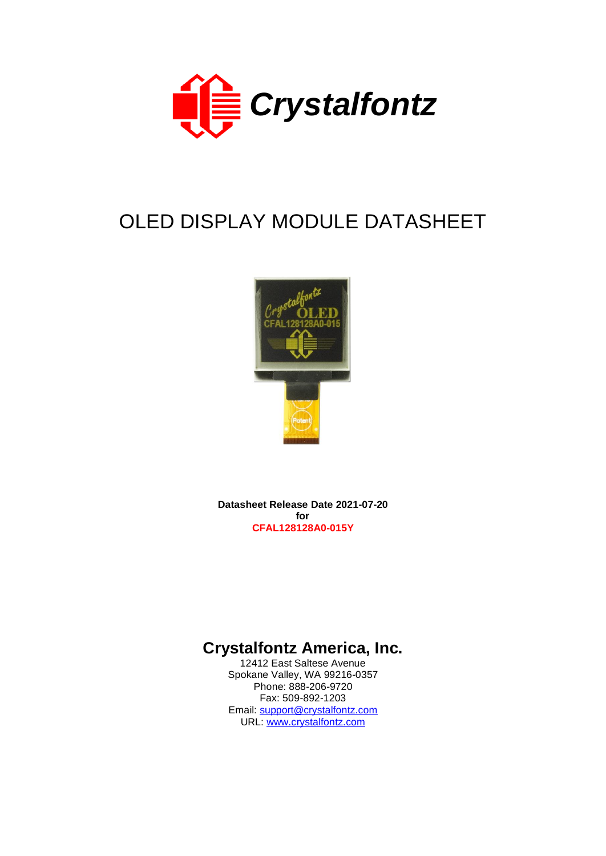

# OLED DISPLAY MODULE DATASHEET



**Datasheet Release Date 2021-07-20 for CFAL128128A0-015Y**

# **Crystalfontz America, Inc.**

12412 East Saltese Avenue Spokane Valley, WA 99216-0357 Phone: 888-206-9720 Fax: 509-892-1203 Email: [support@crystalfontz.com](mailto:support@crystalfontz.com) URL: [www.crystalfontz.com](http://www.crystalfontz.com/)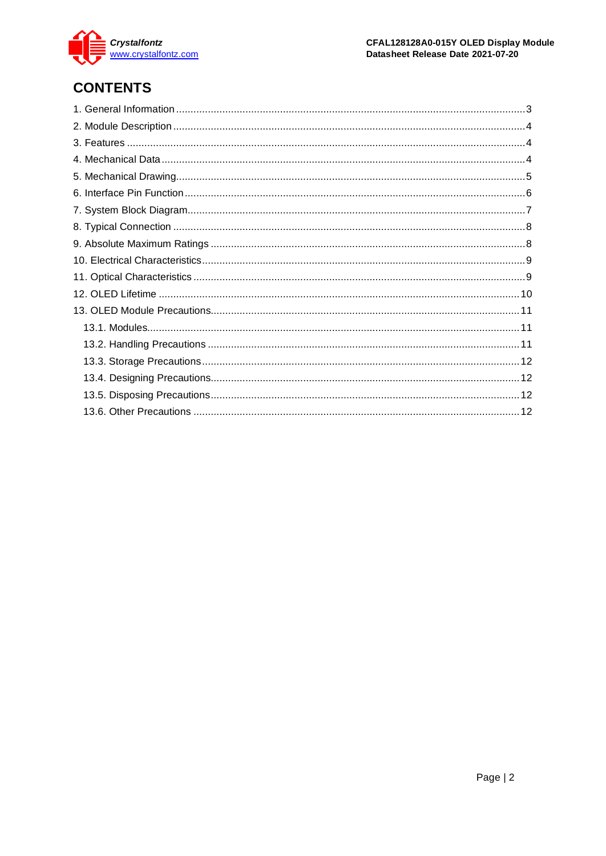

# **CONTENTS**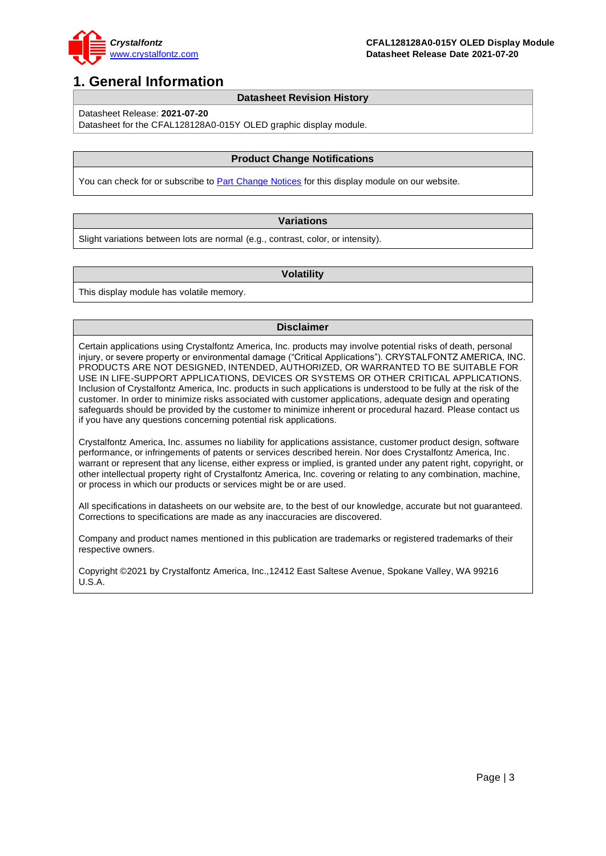

## <span id="page-2-0"></span>**1. General Information**

#### **Datasheet Revision History**

Datasheet Release: **2021-07-20**

Datasheet for the CFAL128128A0-015Y OLED graphic display module.

#### **Product Change Notifications**

You can check for or subscribe to **Part Change Notices** for this display module on our website.

#### **Variations**

Slight variations between lots are normal (e.g., contrast, color, or intensity).

#### **Volatility**

This display module has volatile memory.

#### **Disclaimer**

Certain applications using Crystalfontz America, Inc. products may involve potential risks of death, personal injury, or severe property or environmental damage ("Critical Applications"). CRYSTALFONTZ AMERICA, INC. PRODUCTS ARE NOT DESIGNED, INTENDED, AUTHORIZED, OR WARRANTED TO BE SUITABLE FOR USE IN LIFE-SUPPORT APPLICATIONS, DEVICES OR SYSTEMS OR OTHER CRITICAL APPLICATIONS. Inclusion of Crystalfontz America, Inc. products in such applications is understood to be fully at the risk of the customer. In order to minimize risks associated with customer applications, adequate design and operating safeguards should be provided by the customer to minimize inherent or procedural hazard. Please contact us if you have any questions concerning potential risk applications.

Crystalfontz America, Inc. assumes no liability for applications assistance, customer product design, software performance, or infringements of patents or services described herein. Nor does Crystalfontz America, Inc. warrant or represent that any license, either express or implied, is granted under any patent right, copyright, or other intellectual property right of Crystalfontz America, Inc. covering or relating to any combination, machine, or process in which our products or services might be or are used.

All specifications in datasheets on our website are, to the best of our knowledge, accurate but not guaranteed. Corrections to specifications are made as any inaccuracies are discovered.

Company and product names mentioned in this publication are trademarks or registered trademarks of their respective owners.

Copyright ©2021 by Crystalfontz America, Inc.,12412 East Saltese Avenue, Spokane Valley, WA 99216 U.S.A.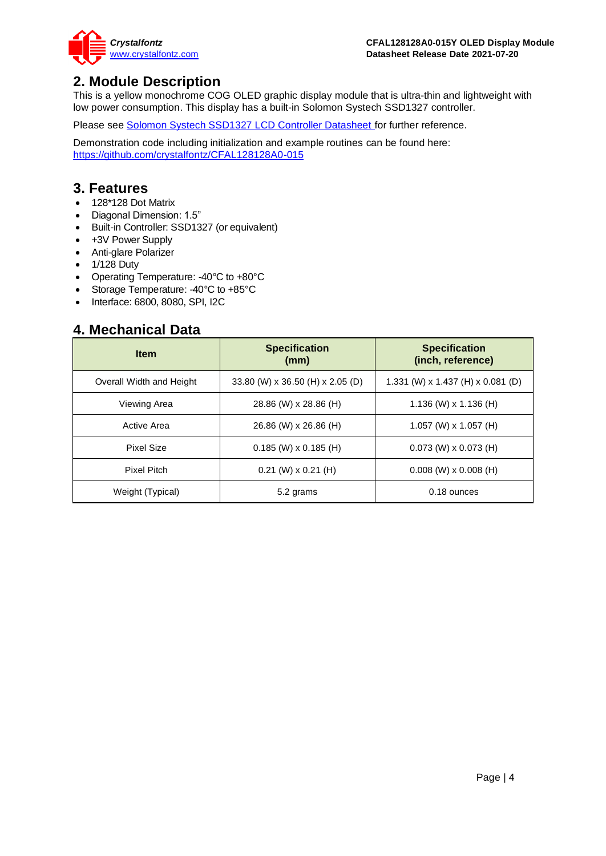

## <span id="page-3-0"></span>**2. Module Description**

This is a yellow monochrome COG OLED graphic display module that is ultra-thin and lightweight with low power consumption. This display has a built-in Solomon Systech SSD1327 controller.

Please see [Solomon Systech SSD1327 LCD Controller Datasheet f](https://www.crystalfontz.com/controllers/SolomonSystech/SSD1327/)or further reference.

Demonstration code including initialization and example routines can be found here: <https://github.com/crystalfontz/CFAL128128A0-015>

## <span id="page-3-1"></span>**3. Features**

- 128\*128 Dot Matrix
- Diagonal Dimension: 1.5"
- Built-in Controller: SSD1327 (or equivalent)
- +3V Power Supply
- Anti-glare Polarizer
- 1/128 Duty
- Operating Temperature: -40°C to +80°C
- Storage Temperature: -40°C to +85°C
- Interface: 6800, 8080, SPI, I2C

## <span id="page-3-2"></span>**4. Mechanical Data**

| <b>Item</b>              | <b>Specification</b><br>(mm)     | <b>Specification</b><br>(inch, reference) |  |
|--------------------------|----------------------------------|-------------------------------------------|--|
| Overall Width and Height | 33.80 (W) x 36.50 (H) x 2.05 (D) | 1.331 (W) x 1.437 (H) x 0.081 (D)         |  |
| Viewing Area             | 28.86 (W) x 28.86 (H)            | $1.136$ (W) x $1.136$ (H)                 |  |
| Active Area              | 26.86 (W) x 26.86 (H)            | $1.057$ (W) x $1.057$ (H)                 |  |
| Pixel Size               | $0.185$ (W) x 0.185 (H)          | $0.073$ (W) x $0.073$ (H)                 |  |
| Pixel Pitch              | $0.21$ (W) x $0.21$ (H)          | $0.008$ (W) x $0.008$ (H)                 |  |
| Weight (Typical)         | 5.2 grams                        | 0.18 ounces                               |  |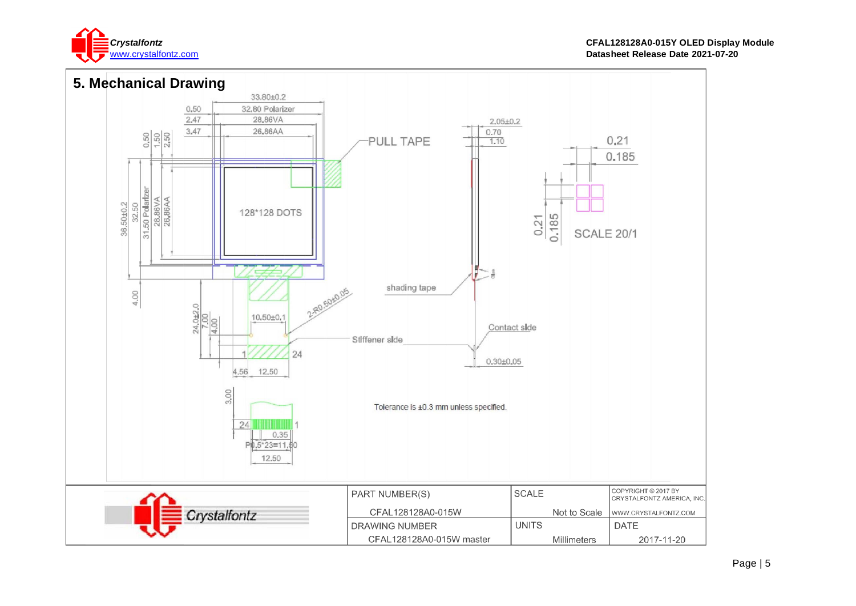

<span id="page-4-0"></span>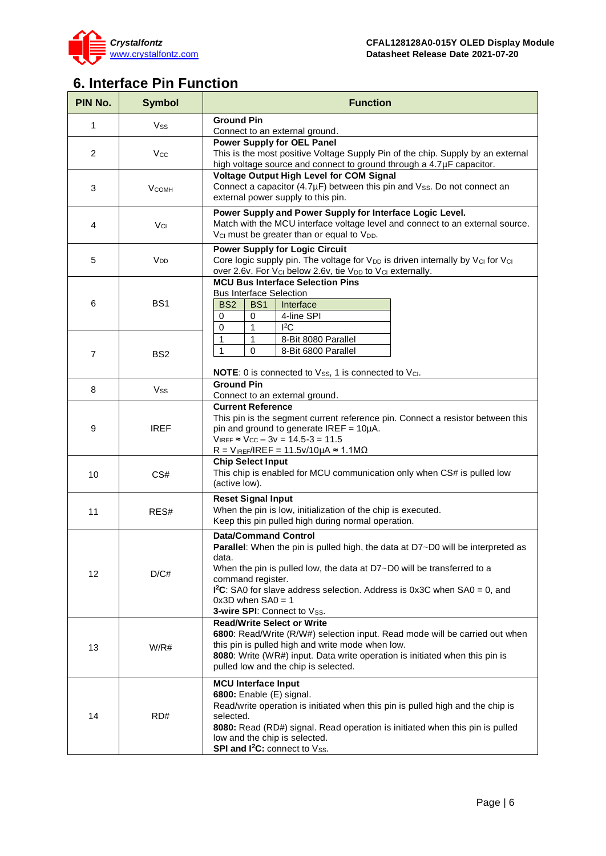

# <span id="page-5-0"></span>**6. Interface Pin Function**

| PIN No.        | <b>Symbol</b>           | <b>Function</b>                                                                                                                                                                                                                                                                                                                                               |  |  |  |  |
|----------------|-------------------------|---------------------------------------------------------------------------------------------------------------------------------------------------------------------------------------------------------------------------------------------------------------------------------------------------------------------------------------------------------------|--|--|--|--|
| 1              | Vss                     | <b>Ground Pin</b><br>Connect to an external ground.                                                                                                                                                                                                                                                                                                           |  |  |  |  |
| $\overline{2}$ | Vcc                     | <b>Power Supply for OEL Panel</b><br>This is the most positive Voltage Supply Pin of the chip. Supply by an external<br>high voltage source and connect to ground through a 4.7µF capacitor.                                                                                                                                                                  |  |  |  |  |
| 3              | <b>V<sub>COMH</sub></b> | Voltage Output High Level for COM Signal<br>Connect a capacitor (4.7µF) between this pin and Vss. Do not connect an<br>external power supply to this pin.                                                                                                                                                                                                     |  |  |  |  |
| 4              | Vcı                     | Power Supply and Power Supply for Interface Logic Level.<br>Match with the MCU interface voltage level and connect to an external source.<br>V <sub>CI</sub> must be greater than or equal to V <sub>DD</sub> .                                                                                                                                               |  |  |  |  |
| 5              | V <sub>DD</sub>         | <b>Power Supply for Logic Circuit</b><br>Core logic supply pin. The voltage for V <sub>DD</sub> is driven internally by V <sub>CI</sub> for V <sub>CI</sub><br>over 2.6v. For V <sub>CI</sub> below 2.6v, tie V <sub>DD</sub> to V <sub>CI</sub> externally.                                                                                                  |  |  |  |  |
| 6              | BS <sub>1</sub>         | <b>MCU Bus Interface Selection Pins</b><br><b>Bus Interface Selection</b><br>BS <sub>2</sub><br>BS <sub>1</sub><br>Interface<br>4-line SPI<br>0<br>0<br>$I^2C$<br>1                                                                                                                                                                                           |  |  |  |  |
| 7              | BS <sub>2</sub>         | 0<br>1<br>8-Bit 8080 Parallel<br>1<br>$\mathbf{1}$<br>$\mathbf 0$<br>8-Bit 6800 Parallel                                                                                                                                                                                                                                                                      |  |  |  |  |
| 8              | Vss                     | NOTE: 0 is connected to Vss, 1 is connected to Vcl.<br><b>Ground Pin</b><br>Connect to an external ground.                                                                                                                                                                                                                                                    |  |  |  |  |
| 9              | <b>IREF</b>             | <b>Current Reference</b><br>This pin is the segment current reference pin. Connect a resistor between this<br>pin and ground to generate IREF = 10µA.<br>$V_{IREF} \approx V_{CC} - 3v = 14.5 - 3 = 11.5$<br>$R = V_{IREF}/IREF = 11.5v/10\mu A \approx 1.1M\Omega$                                                                                           |  |  |  |  |
| 10             | CS#                     | <b>Chip Select Input</b><br>This chip is enabled for MCU communication only when CS# is pulled low<br>(active low).                                                                                                                                                                                                                                           |  |  |  |  |
| 11             | RES#                    | <b>Reset Signal Input</b><br>When the pin is low, initialization of the chip is executed.<br>Keep this pin pulled high during normal operation.                                                                                                                                                                                                               |  |  |  |  |
| 12             | D/C#                    | <b>Data/Command Control</b><br>Parallel: When the pin is pulled high, the data at D7~D0 will be interpreted as<br>data.<br>When the pin is pulled low, the data at D7~D0 will be transferred to a<br>command register.<br>$1^2C$ : SA0 for slave address selection. Address is 0x3C when SA0 = 0, and<br>$0x3D$ when $SAO = 1$<br>3-wire SPI: Connect to Vss. |  |  |  |  |
| 13             | W/R#                    | <b>Read/Write Select or Write</b><br>6800: Read/Write (R/W#) selection input. Read mode will be carried out when<br>this pin is pulled high and write mode when low.<br>8080: Write (WR#) input. Data write operation is initiated when this pin is<br>pulled low and the chip is selected.                                                                   |  |  |  |  |
| 14             | RD#                     | <b>MCU Interface Input</b><br>6800: Enable (E) signal.<br>Read/write operation is initiated when this pin is pulled high and the chip is<br>selected.<br>8080: Read (RD#) signal. Read operation is initiated when this pin is pulled<br>low and the chip is selected.<br>SPI and I <sup>2</sup> C: connect to Vss.                                           |  |  |  |  |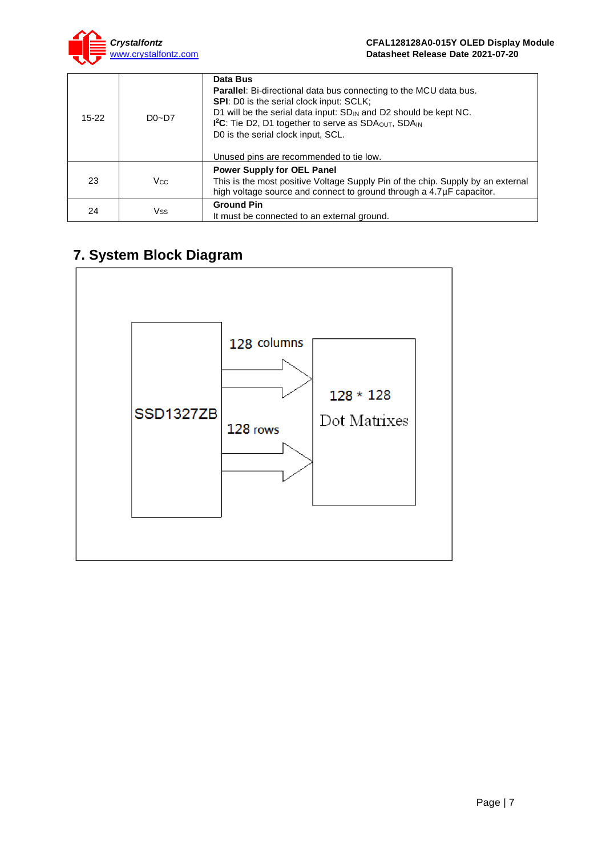

| $15 - 22$ | $D0 - D7$  | Data Bus<br><b>Parallel:</b> Bi-directional data bus connecting to the MCU data bus.<br><b>SPI:</b> D0 is the serial clock input: SCLK;<br>D1 will be the serial data input: SD <sub>IN</sub> and D2 should be kept NC.<br>I <sup>2</sup> C: Tie D2, D1 together to serve as SDA <sub>OUT</sub> , SDA <sub>IN</sub><br>D0 is the serial clock input, SCL.<br>Unused pins are recommended to tie low. |
|-----------|------------|------------------------------------------------------------------------------------------------------------------------------------------------------------------------------------------------------------------------------------------------------------------------------------------------------------------------------------------------------------------------------------------------------|
| 23        | <b>Vcc</b> | <b>Power Supply for OEL Panel</b><br>This is the most positive Voltage Supply Pin of the chip. Supply by an external<br>high voltage source and connect to ground through a 4.7µF capacitor.                                                                                                                                                                                                         |
| 24        | Vss        | <b>Ground Pin</b><br>It must be connected to an external ground.                                                                                                                                                                                                                                                                                                                                     |

# <span id="page-6-0"></span>**7. System Block Diagram**

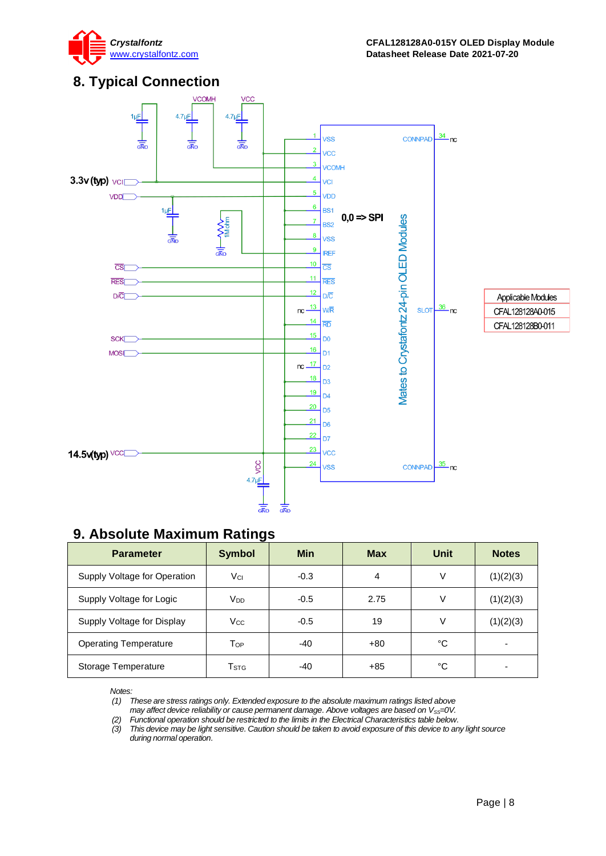

## <span id="page-7-0"></span>**8. Typical Connection**



## <span id="page-7-1"></span>**9. Absolute Maximum Ratings**

| <b>Parameter</b>             | <b>Symbol</b>   | <b>Min</b> | <b>Max</b> | Unit | <b>Notes</b> |
|------------------------------|-----------------|------------|------------|------|--------------|
| Supply Voltage for Operation | Vci             | $-0.3$     | 4          | V    | (1)(2)(3)    |
| Supply Voltage for Logic     | V <sub>DD</sub> | $-0.5$     | 2.75       | V    | (1)(2)(3)    |
| Supply Voltage for Display   | <b>Vcc</b>      | $-0.5$     | 19         | V    | (1)(2)(3)    |
| <b>Operating Temperature</b> | Top             | $-40$      | $+80$      | °C   | -            |
| Storage Temperature          | Tstg            | -40        | $+85$      | °C   | -            |

*Notes:*

*(1) These are stress ratings only. Extended exposure to the absolute maximum ratings listed above* 

*may affect device reliability or cause permanent damage. Above voltages are based on V<sub>SS</sub>=0V.* 

*(2) Functional operation should be restricted to the limits in the Electrical Characteristics table below. (3) This device may be light sensitive. Caution should be taken to avoid exposure of this device to any light source* 

*during normal operation.*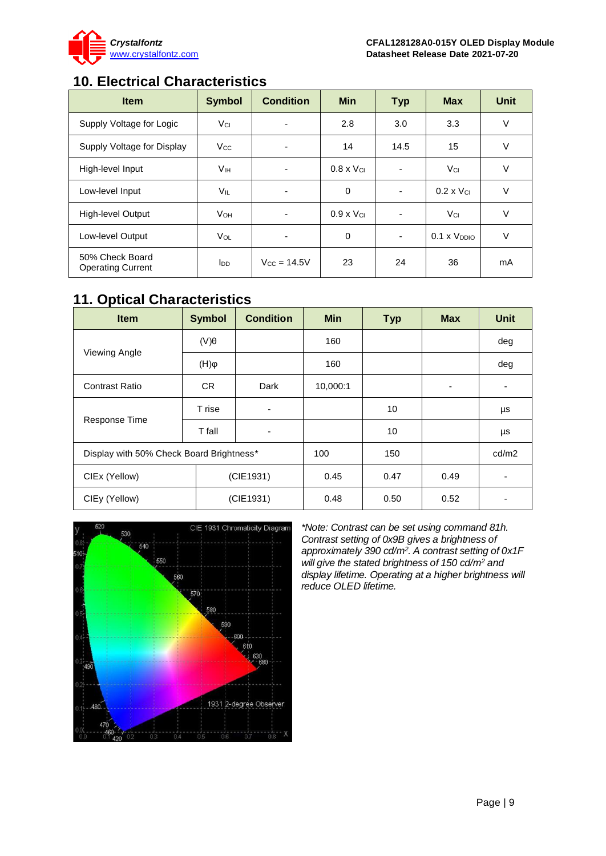

# <span id="page-8-0"></span>**10. Electrical Characteristics**

| <b>Item</b>                                 | <b>Symbol</b>         | <b>Condition</b> | <b>Min</b>          | <b>Typ</b>               | <b>Max</b>                 | Unit |
|---------------------------------------------|-----------------------|------------------|---------------------|--------------------------|----------------------------|------|
| Supply Voltage for Logic                    | Vci                   | ٠                | 2.8                 | 3.0                      | 3.3                        | V    |
| Supply Voltage for Display                  | <b>V<sub>cc</sub></b> | ۰                | 14                  | 14.5                     | 15                         | V    |
| High-level Input                            | V <sub>IH</sub>       | ٠                | $0.8 \times V_{Cl}$ | ٠                        | Vci                        | ٧    |
| Low-level Input                             | <b>VIL</b>            | ٠                | $\Omega$            | $\overline{\phantom{0}}$ | $0.2 \times V_{\text{Cl}}$ | V    |
| <b>High-level Output</b>                    | <b>V</b> он           | $\blacksquare$   | $0.9 \times V_{Cl}$ | $\blacksquare$           | Vcı                        | V    |
| Low-level Output                            | <b>V<sub>OL</sub></b> | ٠                | $\Omega$            | $\blacksquare$           | $0.1 \times V_{DDIO}$      | V    |
| 50% Check Board<br><b>Operating Current</b> | $I_{DD}$              | $V_{CC} = 14.5V$ | 23                  | 24                       | 36                         | mA   |

# <span id="page-8-1"></span>**11. Optical Characteristics**

| <b>Item</b>                              | <b>Symbol</b>         | <b>Condition</b> | <b>Min</b> | <b>Typ</b> | <b>Max</b> | <b>Unit</b> |
|------------------------------------------|-----------------------|------------------|------------|------------|------------|-------------|
| Viewing Angle                            | $(V)\theta$           |                  | 160        |            |            | deg         |
|                                          | $(\mathsf{H})\varphi$ |                  | 160        |            |            | deg         |
| <b>Contrast Ratio</b>                    | CR.                   | Dark             | 10,000:1   |            | ٠          | ۰           |
| Response Time                            | T rise                | ۰                |            | 10         |            | μs          |
|                                          | T fall                | ۰                |            | 10         |            | μs          |
| Display with 50% Check Board Brightness* |                       |                  | 100        | 150        |            | cd/m2       |
| CIEx (Yellow)                            |                       | (CIE1931)        |            | 0.47       | 0.49       | ٠           |
| CIEy (Yellow)                            | (CIE1931)             |                  | 0.48       | 0.50       | 0.52       | ۰           |



*\*Note: Contrast can be set using command 81h. Contrast setting of 0x9B gives a brightness of approximately 390 cd/m<sup>2</sup> . A contrast setting of 0x1F will give the stated brightness of 150 cd/m<sup>2</sup> and display lifetime. Operating at a higher brightness will reduce OLED lifetime.*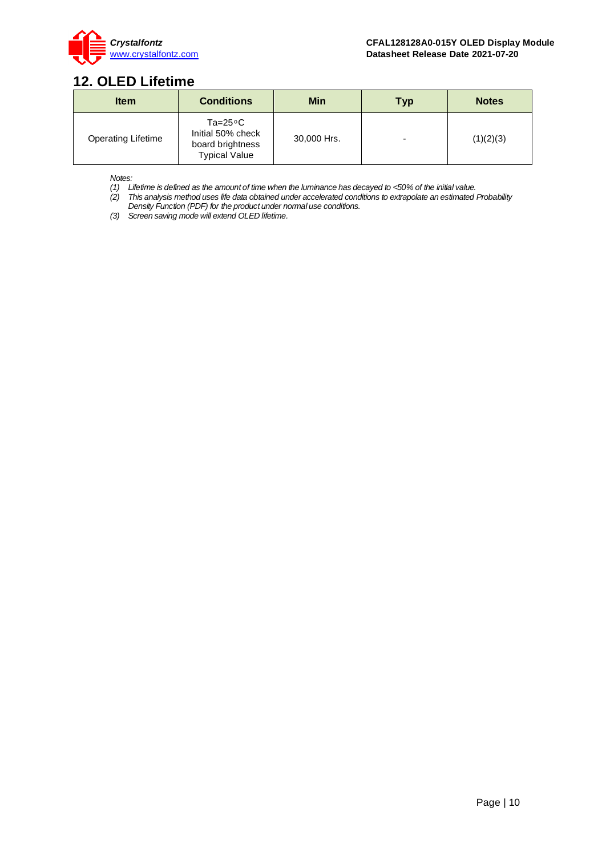

## <span id="page-9-0"></span>**12. OLED Lifetime**

| <b>Item</b>               | <b>Conditions</b>                                                                   | <b>Min</b>  | <b>Typ</b> | <b>Notes</b> |
|---------------------------|-------------------------------------------------------------------------------------|-------------|------------|--------------|
| <b>Operating Lifetime</b> | $Ta = 25^{\circ}C$<br>Initial 50% check<br>board brightness<br><b>Typical Value</b> | 30,000 Hrs. | -          | (1)(2)(3)    |

*Notes:* 

*(1) Lifetime is defined as the amount of time when the luminance has decayed to <50% of the initial value.*

*(2) This analysis method uses life data obtained under accelerated conditions to extrapolate an estimated Probability Density Function (PDF) for the product under normal use conditions.*

*(3) Screen saving mode will extend OLED lifetime.*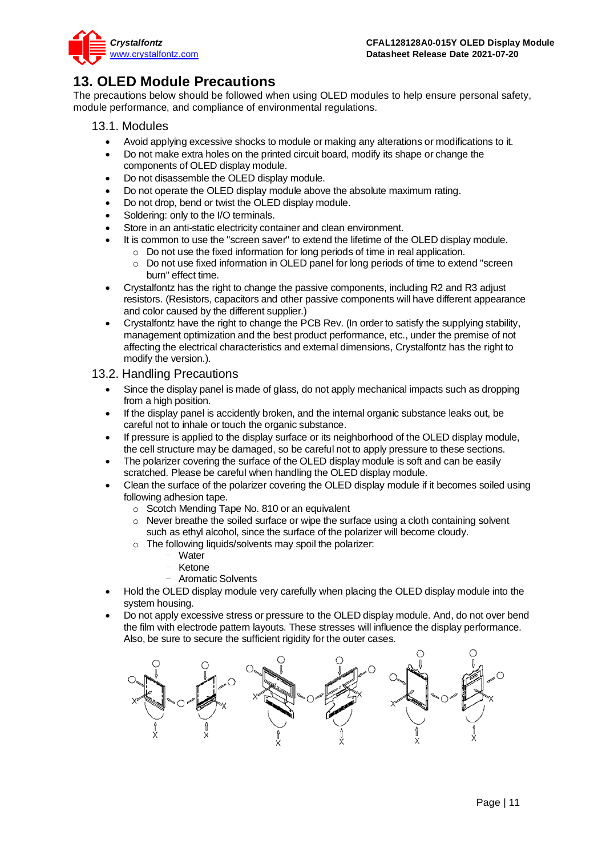

## <span id="page-10-0"></span>**13. OLED Module Precautions**

The precautions below should be followed when using OLED modules to help ensure personal safety, module performance, and compliance of environmental regulations.

## <span id="page-10-1"></span>13.1. Modules

- Avoid applying excessive shocks to module or making any alterations or modifications to it.
- Do not make extra holes on the printed circuit board, modify its shape or change the components of OLED display module.
- Do not disassemble the OLED display module.
- Do not operate the OLED display module above the absolute maximum rating.
- Do not drop, bend or twist the OLED display module.
- Soldering: only to the I/O terminals.
- Store in an anti-static electricity container and clean environment.
- It is common to use the "screen saver" to extend the lifetime of the OLED display module.
	- $\circ$  Do not use the fixed information for long periods of time in real application.
	- $\circ$  Do not use fixed information in OLED panel for long periods of time to extend "screen burn" effect time.
- Crystalfontz has the right to change the passive components, including R2 and R3 adjust resistors. (Resistors, capacitors and other passive components will have different appearance and color caused by the different supplier.)
- Crystalfontz have the right to change the PCB Rev. (In order to satisfy the supplying stability, management optimization and the best product performance, etc., under the premise of not affecting the electrical characteristics and external dimensions, Crystalfontz has the right to modify the version.).

## <span id="page-10-2"></span>13.2. Handling Precautions

- Since the display panel is made of glass, do not apply mechanical impacts such as dropping from a high position.
- If the display panel is accidently broken, and the internal organic substance leaks out, be careful not to inhale or touch the organic substance.
- If pressure is applied to the display surface or its neighborhood of the OLED display module, the cell structure may be damaged, so be careful not to apply pressure to these sections.
- The polarizer covering the surface of the OLED display module is soft and can be easily scratched. Please be careful when handling the OLED display module.
- Clean the surface of the polarizer covering the OLED display module if it becomes soiled using following adhesion tape.
	- o Scotch Mending Tape No. 810 or an equivalent
	- $\circ$  Never breathe the soiled surface or wipe the surface using a cloth containing solvent such as ethyl alcohol, since the surface of the polarizer will become cloudy.
	- o The following liquids/solvents may spoil the polarizer:
		- Water
		- **Ketone**
		- Aromatic Solvents
- Hold the OLED display module very carefully when placing the OLED display module into the system housing.
- Do not apply excessive stress or pressure to the OLED display module. And, do not over bend the film with electrode pattern layouts. These stresses will influence the display performance. Also, be sure to secure the sufficient rigidity for the outer cases.

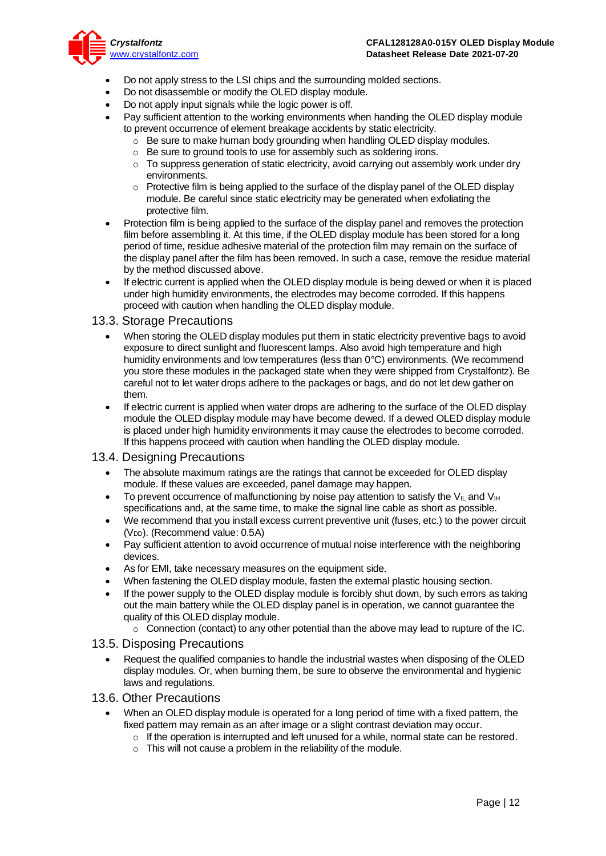

- Do not apply stress to the LSI chips and the surrounding molded sections.
- Do not disassemble or modify the OLED display module.
- Do not apply input signals while the logic power is off.
- Pay sufficient attention to the working environments when handing the OLED display module to prevent occurrence of element breakage accidents by static electricity.
	- o Be sure to make human body grounding when handling OLED display modules.
	- o Be sure to ground tools to use for assembly such as soldering irons.
	- $\circ$  To suppress generation of static electricity, avoid carrying out assembly work under dry environments.
	- $\circ$  Protective film is being applied to the surface of the display panel of the OLED display module. Be careful since static electricity may be generated when exfoliating the protective film.
- Protection film is being applied to the surface of the display panel and removes the protection film before assembling it. At this time, if the OLED display module has been stored for a long period of time, residue adhesive material of the protection film may remain on the surface of the display panel after the film has been removed. In such a case, remove the residue material by the method discussed above.
- If electric current is applied when the OLED display module is being dewed or when it is placed under high humidity environments, the electrodes may become corroded. If this happens proceed with caution when handling the OLED display module.

#### <span id="page-11-0"></span>13.3. Storage Precautions

- When storing the OLED display modules put them in static electricity preventive bags to avoid exposure to direct sunlight and fluorescent lamps. Also avoid high temperature and high humidity environments and low temperatures (less than 0°C) environments. (We recommend you store these modules in the packaged state when they were shipped from Crystalfontz). Be careful not to let water drops adhere to the packages or bags, and do not let dew gather on them.
- If electric current is applied when water drops are adhering to the surface of the OLED display module the OLED display module may have become dewed. If a dewed OLED display module is placed under high humidity environments it may cause the electrodes to become corroded. If this happens proceed with caution when handling the OLED display module.

## <span id="page-11-1"></span>13.4. Designing Precautions

- The absolute maximum ratings are the ratings that cannot be exceeded for OLED display module. If these values are exceeded, panel damage may happen.
- To prevent occurrence of malfunctioning by noise pay attention to satisfy the V<sub>II</sub> and V<sub>IH</sub> specifications and, at the same time, to make the signal line cable as short as possible.
- We recommend that you install excess current preventive unit (fuses, etc.) to the power circuit (V<sub>DD</sub>). (Recommend value: 0.5A)
- Pay sufficient attention to avoid occurrence of mutual noise interference with the neighboring devices.
- As for EMI, take necessary measures on the equipment side.
- When fastening the OLED display module, fasten the external plastic housing section.
- If the power supply to the OLED display module is forcibly shut down, by such errors as taking out the main battery while the OLED display panel is in operation, we cannot guarantee the quality of this OLED display module.
	- $\circ$  Connection (contact) to any other potential than the above may lead to rupture of the IC.

## <span id="page-11-2"></span>13.5. Disposing Precautions

• Request the qualified companies to handle the industrial wastes when disposing of the OLED display modules. Or, when burning them, be sure to observe the environmental and hygienic laws and regulations.

## <span id="page-11-3"></span>13.6. Other Precautions

- When an OLED display module is operated for a long period of time with a fixed pattem, the fixed pattern may remain as an after image or a slight contrast deviation may occur.
	- $\circ$  If the operation is interrupted and left unused for a while, normal state can be restored.
	- $\circ$  This will not cause a problem in the reliability of the module.